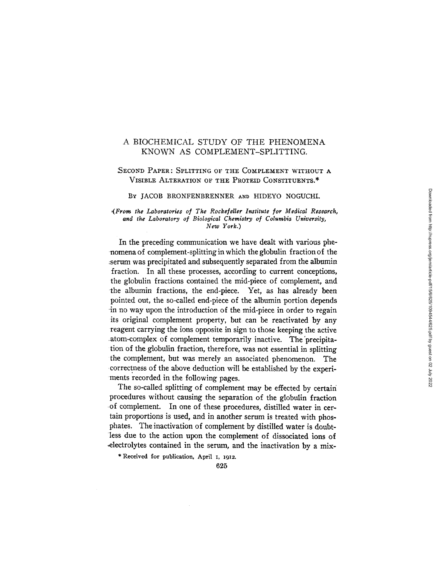## A BIOCHEMICAL STUDY OF THE PHENOMENA KNOWN AS COMPLEMENT-SPLITTING.

## SECOND PAPER: SPLITTING OF THE COMPLEMENT WITHOUT A VISIBLE ALTERATION OF THE PROTEID CONSTITUENTS.\*

#### BY JACOB BRONFENBRENNER AND HIDEYO NOGUCHI.

## *,(From the Laboratories of The Rockefeller Institute for Medical Research, and the Laboratory of Biological Chemistry of Columbia University, New York.)*

In the preceding communication we have dealt with various pheuomena of complement-splitting in which the globulin fraction of the :serum was precipitated and subsequently separated from the albumin fraction. In all these processes, according to current conceptions, the globulin fractions contained the mid-piece of complement, and the albumin fractions, the end-piece. Yet, as has already been pointed out, the so-called end-piece of the albumin portion depends in no way upon the introduction of the mid-piece in order to regain its original complement property, but can be reactivated by any reagent carrying the ions opposite in sign to those keeping the active atom-complex of complement temporarily inactive. The 'precipitation of the globulin fraction, therefore, was not essential in splitting the complement, but was merely an associated phenomenon. The correctness of the above deduction will be established by the experiments recorded in the following pages.

The so-called splitting of complement may be effected by certain procedures without causing the separation of the globulin fraction of complement. In one of these procedures, distilled water in certain proportions is used, and in another serum is treated with phosphates. The inactivation of complement by distilled water is doubtless due to the action upon the complement of dissociated ions of ,electrolytes contained in the serum, and the inactivation by a mix-

\* Received for publication, April I, 1912.

625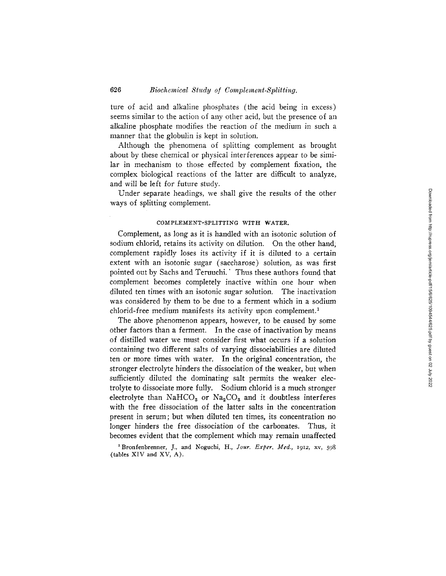## 626 *Biochemical Study of Complement-Splitting.*

ture of acid and alkaline phosphates (the acid being in excess) seems similar to the action of any other acid, but the presence of an alkaline phosphate modifies the reaction of the medium in such a manner that the globulin is kept in solution.

Although the phenomena of splitting complement as brought about by these chemical or physical interferences appear to be similar in mechanism to those effected by complement fixation, the complex biological reactions of the latter are difficult to analyze, and will be left for future study.

Under separate headings, we shall give the results of the other ways of splitting complement.

## COMPLEMENT-SPLITTING WITH WATER.

Complement, as long as it is handled with an isotonic solution of sodium chlorid, retains its activity on dilution. On the other hand; complement rapidly loses its activity if it is diluted to a certain extent with an isotonic sugar (saccharose) solution, as was first pointed out by Sachs and Teruuchi. Thus these authors found that complement becomes completely inactive within one hour when diluted ten times with an isotonic sugar solution. The inactivation was considered by them to be due to a ferment which in a sodium chlorid-free medium manifests its activity upon complement.<sup>1</sup>

The above phenomenon appears, however, to be caused by some other factors than a ferment. In the case of inactivation by means of distilled water we must consider first what occurs if a solution containing two different salts of varying dissociabilities are diluted ten or more times with water. In the original concentration, the stronger electrolyte hinders the dissociation of the weaker, but when sufficiently diluted the dominating salt permits the weaker electrolyte to dissociate more fully. Sodium chlorid is a much stronger electrolyte than NaHCO<sub>3</sub> or Na<sub>2</sub>CO<sub>3</sub> and it doubtless interferes with the free dissociation of the latter salts in the concentration present in serum; but when diluted ten times, its concentration no longer hinders the free dissociation of the carbonates. Thus, it becomes evident that the complement which may remain unaffected

<sup>1</sup> Bronfenbrenner, J., and Noguchi, H., *Jour. Exper. Med.*, 1912, xv, 598 (tables XIV and XV, A).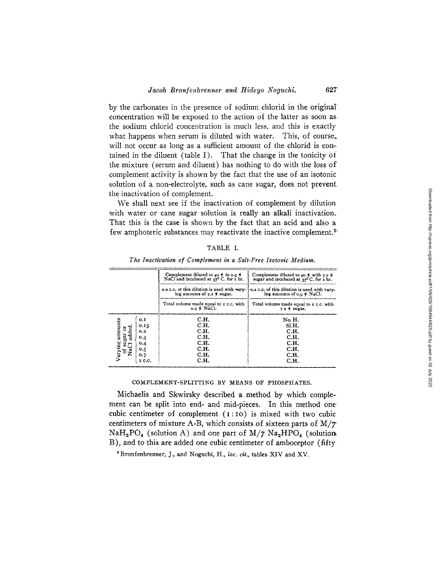by the carbonates in the presence of sodium chlorid in the original concentration will be exposed to the action of the latter as soon as. the sodium chlorid concentration is much less, and this is exactly what happens when serum is diluted with water. This, of course, will not occur as long as a sufficient amount of the chlorid is contained in the diluent (table I). That the change in the tonicity of the mixture (serum and diluent) has nothing to do with the loss of complement activity is shown by the fact that the use of an isotonic solution of a non-electrolyte, such as cane sugar, does not prevent\_ the inactivation of complement.

We shall next see if the inactivation of complement by dilution with water or cane sugar solution is really an alkali inactivation. That this is the case is shown by the fact that an acid and also a few amphoteric substances may reactivate the inactive complement.<sup>2</sup>

| <b>TABLE</b> |  |
|--------------|--|
|--------------|--|

*The Inactivation of Complement in a Salt-Free Isotonic Medium.* 

|                                                                                                                                           | Complement diluted to 40 $\neq$ in 0.0 $\neq$<br>NaCl and incubated at $37^{\circ}$ C. for 1 hr. | Complement diluted to 40 $\frac{4}{3}$ with 7.2 $\frac{4}{3}$<br>sugar and incubated at $37^{\circ}$ C. for r hr. |
|-------------------------------------------------------------------------------------------------------------------------------------------|--------------------------------------------------------------------------------------------------|-------------------------------------------------------------------------------------------------------------------|
|                                                                                                                                           | o.2 c.c. of this dilution is used with vary-<br>ing amounts of $7.2 \div$ sugar.                 | 0.2 c.c. of this dilution is used with vary-<br>ing amounts of 0.9 % NaCl.                                        |
|                                                                                                                                           | Total volume made equal to r c.c. with<br>$o.g.$ NaCl.                                           | Total volume made equal to I c.c. with<br>$72%$ sugar.                                                            |
| 0.1<br>Varying amounts<br>0.15<br>added<br>능<br>0.2<br>sugar<br>0.3<br>0.4<br>ධ<br>$\tilde{R}$<br>0.5<br>$\ddot{\delta}$<br>0.7<br>1 c.c. | C.H.<br>C.H.<br>C.H.<br>C.H.<br>C.H.<br>C.H.<br>C.H.<br>C.H.                                     | No H.<br>$S1$ .<br>C.H.<br>C.H.<br>C.H.<br>C.H.<br>C.H.<br>C.H.                                                   |

#### COMPLEMENT-SPLITTING BY MEANS OF PHOSPHATES.

Michaelis and Skwirsky described a method by which complement can be split into end- and mid-pieces. In this method one cubic centimeter of complement  $(1:10)$  is mixed with two cubic centimeters of mixture A-B, which consists of sixteen parts of *M/7*   $NaH<sub>2</sub>PO<sub>4</sub>$  (solution A) and one part of  $M/7$   $Na<sub>2</sub>HPO<sub>4</sub>$  (solutiona) B), and to this are added one cubic centimeter of amboceptor (fifty

<sup>2</sup> Bronfenbrenner, J., and Noguchi, H., *loc. cit.*, tables XIV and XV.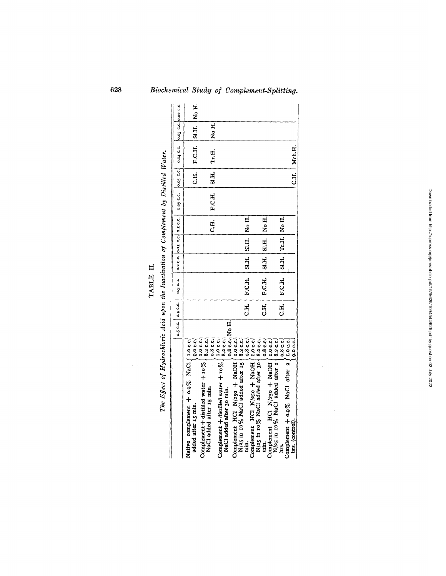| The Effect of Hydrochloric Acid upon the Inactivation of Complement by Distilled Water.    |                |                   |                          |         |                 |       |                                                   |                          |                    |                     |  |
|--------------------------------------------------------------------------------------------|----------------|-------------------|--------------------------|---------|-----------------|-------|---------------------------------------------------|--------------------------|--------------------|---------------------|--|
|                                                                                            |                | 0.5 C.C. 0.4 C.C. | 0.3 C.C.                 |         |                 |       | $ 0.2 cC. 0.15 C.C. 0.1 cC. 0.07 C.C. 0.05 C.C. $ |                          | $0.04$ C.C.        | 0.03 C.C. 0.02 C.C. |  |
| Native complement + 0.9% NaCl j 1.0 c.c.<br>0.0 C.C.<br>added after 15 min.                |                |                   |                          |         |                 |       |                                                   | ਾਂ<br>ਹਵਾ                | F.C.H. SI.H. No H. |                     |  |
| Complement + distilled water + $10\%$ } $8.2$ c.c.<br>0.8 c.c.<br>NaCl added after 15 min. |                |                   |                          |         |                 | СH.   | F.C.H.                                            | $\overline{\text{S}}$ H. | Tr.H.              | No H.               |  |
| Complement + distilled water + $10\%$ $\frac{1.9}{8.2}$ e.e.<br>NaCl added after 30 min.   | 0.8 c.c. No H. |                   |                          |         |                 |       |                                                   |                          |                    |                     |  |
| N/25 in 10% NaCl added after 15 { 8.2 c.c.<br>Complement HCI N/250 + NaOH (1.0 c.c.)       |                |                   |                          |         |                 |       |                                                   |                          |                    |                     |  |
| ا : ن<br>3 ده<br>Complement HCI N/250 + NaOH (1.0 c.c.                                     |                | $\overline{a}$    | F.C.H.                   |         | $SLH$ , $SLH$ . | No H. |                                                   |                          |                    |                     |  |
| N/25 in 10% NaCl added after 30 { 8.2 c.c.                                                 |                |                   |                          |         |                 |       |                                                   |                          |                    |                     |  |
| 0.8 c.c.                                                                                   |                | $\overline{H}$    | F.C.H.                   | $SLH$ . | $SLH$ .         | No H. |                                                   |                          |                    |                     |  |
| Complement HCl N/250 + NaOH [1.0 c.c.]                                                     |                |                   |                          |         |                 |       |                                                   |                          |                    |                     |  |
| 0.8 c.C<br>N/25 in 10% NaCl added after 2 { 8.2 c.c.                                       |                | $\frac{1}{15}$    | F.C.H. SI.H. Tr.H. No H. |         |                 |       |                                                   |                          |                    |                     |  |
| Complement $+$ 0.9% NaCl after 2 $j$ 1.0 c.c.                                              |                |                   |                          |         |                 |       |                                                   |                          |                    |                     |  |
| 0.0 C.C.<br>hrs. (control).                                                                |                |                   |                          |         |                 |       |                                                   | ー<br>ご                   | Mch.H.             |                     |  |

TABLE II.

 $\bar{\mathcal{A}}$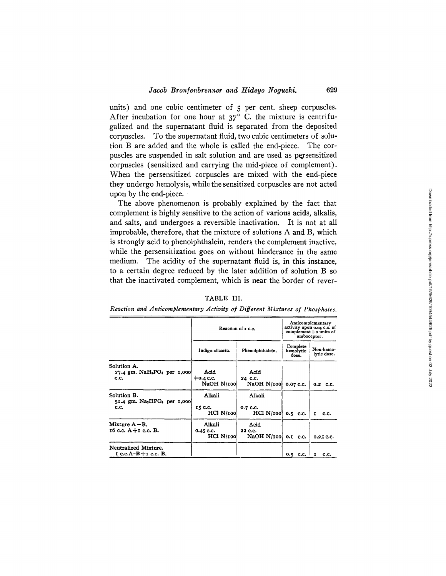units) and one cubic centimeter of 5 per cent. sheep corpuscles. After incubation for one hour at  $37^\circ$  C. the mixture is centrifugalized and the supernatant fluid is separated from the deposited corpuscles. To the supernatant fluid, two cubic centimeters of solution B are added and the whole is called the end-piece. The corpuscles are suspended in salt solution and are used as persensitized corpuscles (sensitized and carrying the mid-piece of complement). When the persensitized corpuscles are mixed with the end-piece they undergo hemolysis, while the sensitized corpuscles are not acted upon by the end-piece.

The above phenomenon is probably explained by the fact that complement is highly sensitive to the action of various acids, alkalis, and salts, and undergoes a reversible inactivation. It is not at all improbable, therefore, that the mixture of solutions A and B, which is strongly acid to phenolphthalein, renders the complement inactive, while the persensitization goes on without hinderance in the same medium. The acidity of the supernatant fluid is, in this instance, to a certain degree reduced by the later addition of solution B so that the inactivated complement, which is near the border of rever-

|                                                                            | Reaction of r c.c.                |                                             |                                | Anticomplementary<br>activity upon 0.04 c.c. of<br>$complement + 2 units$ of<br>amboceptor. |
|----------------------------------------------------------------------------|-----------------------------------|---------------------------------------------|--------------------------------|---------------------------------------------------------------------------------------------|
|                                                                            | Indigo-alizarin.                  | Phenolphthalein.                            | Complete<br>hemolytic<br>dose. | Non-hemo-<br>lytic dose.                                                                    |
| Solution A.<br>27.4 gm. NaH <sub>2</sub> PO <sub>4</sub> per 1,000<br>c.c. | Acid<br>$+0.4$ c.c.<br>NaOH N/100 | Acid<br>24 c.c.<br>NaOH N/100               | 0.07 c.c.                      | 0.2 C.C.                                                                                    |
| Solution B.<br>51.4 gm. Na <sub>2</sub> HPO <sub>4</sub> per 1,000<br>c.c. | Alkali<br>15 c.c.<br>HC1 N/100    | Alkali<br>0.7 c.c.<br>$-HCl$ N/100 0.5 c.c. |                                | c.c.<br>т.                                                                                  |
| Mixture $A - B$ .<br>$16$ c.c. $A + I$ c.c. $B$ .                          | Alkali<br>0.45 c.c.<br>HCl N/100  | Acid<br>22 C.C.<br>NaOH $N/100$ 0.1 c.c.    |                                | $0.25$ C.C.                                                                                 |
| Neutralized Mixture.<br>1 c.c.A-B+1 c.c. B.                                |                                   |                                             | $0.5$ c.c.                     | c.c.<br>т.                                                                                  |

## TABLE III.

## *Reaction and Antlcomplementary Activity of Different Mixtures of Phosphates.*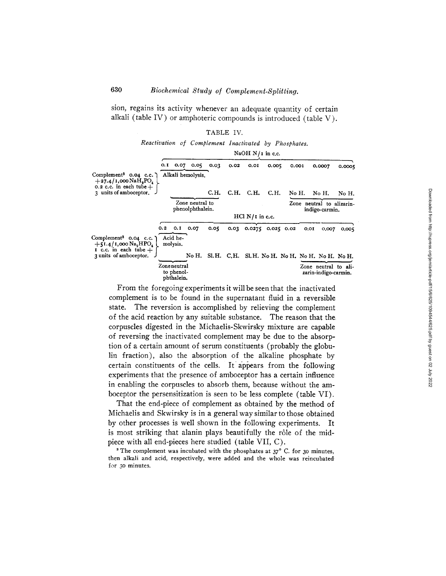sion, regains its activity whenever an adequate quantity of certain alkali (table IV) or amphoteric compounds is introduced (table V).

## TABLE IV.

*Reactivation of Complement Inactivated by Phosphates.* 

|                                                                                                                     |      |                                         |                                     |      |      | NaOH $N/1$ in c.c.                       |              |       |      |                                              |        |
|---------------------------------------------------------------------------------------------------------------------|------|-----------------------------------------|-------------------------------------|------|------|------------------------------------------|--------------|-------|------|----------------------------------------------|--------|
|                                                                                                                     | 0. I | 0.07                                    | 0.05                                | 0.03 | 0.02 | 0.01                                     | 0.005        | 0.001 |      | 0.0007                                       | 0.0005 |
| Complement <sup>3</sup> $0.04$ c.c.)<br>$+27.4/1,000\mathrm{NaH}_2\mathrm{PO}_4$<br>0.2 c.c. in each tube $+$       |      |                                         | Alkali hemolysis.                   |      |      |                                          |              |       |      |                                              |        |
| 3 units of amboceptor.                                                                                              |      |                                         |                                     | C.H. | C.H. | С.Н.                                     | C.H.         | No H. |      | No H.                                        | No H.  |
|                                                                                                                     |      |                                         | Zone neutral to<br>phenolphthalein. |      |      |                                          |              |       |      | Zone neutral to alizarin-<br>indigo-carmin.  |        |
|                                                                                                                     |      |                                         |                                     |      |      | $HCl N/I$ in c.c.                        |              |       |      |                                              |        |
|                                                                                                                     | 0.2  | O, I                                    | 0.07                                | 0.05 | 0.03 | 0.0275                                   | $0.025$ 0.02 |       | 0.01 | 0,007                                        | 0.005  |
| $Complement3$ 0.04 c.c.)<br>$+$ 51.4/1,000 Na <sub>2</sub> HPO <sub>4</sub><br>$\overline{1}$ c.c. in each tube $+$ |      | Acid he-<br>molysis.                    |                                     |      |      |                                          |              |       |      |                                              |        |
| 3 units of amboceptor.                                                                                              |      |                                         | No H.                               | SLH. |      | C.H. Sl.H. No H. No H. No H. No H. No H. |              |       |      |                                              |        |
|                                                                                                                     |      | Zoneneutral<br>to phenol-<br>phthalein. |                                     |      |      |                                          |              |       |      | Zone neutral to ali-<br>zarin-indigo-carmin. |        |

From the foregoing experiments it will be seen that the inactivated complement is to be found in the supernatant fluid in a reversible state. The reversion is accomplished by relieving the complement of the acid reaction by any suitable substance. The reason that the, corpuscles digested in the Michaelis-Skwirsky mixture are capable of reversing the inactivated complement may be due to the absorption of a certain amount of serum constituents (probably the globulin fraction), also the absorption of the alkaline phosphate by certain constituents of the cells. It appears from the following experiments that the presence of amboceptor has a certain influence in enabling the corpuscles to absorb them, because without the amboceptor the persensitization is seen to be less complete (table VI).

That the end-piece of complement as obtained by the method of Michaelis and Skwirsky is in a general way similar to those obtained by other processes is well shown in the following experiments. It is most striking that alanin plays beautifully the rôle of the midpiece with all end-pieces here studied (table VII, C).

<sup>3</sup> The complement was incubated with the phosphates at  $37^\circ$  C. for 30 minutes, then alkali and acid, respectively, were added and the whole was reincubated for 30 minutes.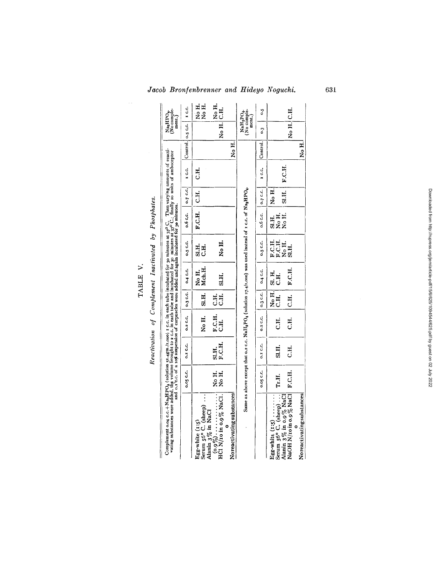| 仁<br>α<br>۴ |  |
|-------------|--|

Reactivation of Complement Inactivated by Phosphates.

| Complement o.o4 c.c.+Na <sub>2</sub> HPO <sub>4</sub> (solution 51.4gm./1.000) 1 c.c. in each tube incubated for 30 minutes at 37 <sup>0</sup> C. Then varying amounts of reacti-<br>vating substances were added, the volume brought to a c.c. in each tube and incubated for 30 minutes at $3r^0$ C.; finally 10 units of amboceptor<br>and 0.1 c.c. of a 10 x 10.0 c. of a 10% suspension of corpuscles were added |                |                 |                    |                                                        |                   |                                                                                                                                    |                             |              |                 |       | (No comple-<br>Na <sub>2</sub> HPO <sub>4</sub> .<br>ment.) |                |
|-----------------------------------------------------------------------------------------------------------------------------------------------------------------------------------------------------------------------------------------------------------------------------------------------------------------------------------------------------------------------------------------------------------------------|----------------|-----------------|--------------------|--------------------------------------------------------|-------------------|------------------------------------------------------------------------------------------------------------------------------------|-----------------------------|--------------|-----------------|-------|-------------------------------------------------------------|----------------|
|                                                                                                                                                                                                                                                                                                                                                                                                                       | o.og c.c.      | 0.1 C.C.        | 0.2 C.C.           |                                                        | <b>0.4 C.C.</b>   | <b>O.5</b> C.C.                                                                                                                    | 0.6 c.c.                    | $ $ 0.7 C.C. |                 |       |                                                             |                |
| Serum 56° C. (sheep)<br>Egg-white (1:5)                                                                                                                                                                                                                                                                                                                                                                               |                |                 | No H.              | SI.H.                                                  | Mch.H.<br>Nо H.   | SI.H.<br>н.<br>С                                                                                                                   | F.C.H.                      | E.           | н.<br>С         |       |                                                             | No H.<br>No H. |
| HCl N/10 in 0.9% NaCl.<br>Alanin 3% in NaCl<br>$(0.9\%)\ldots$                                                                                                                                                                                                                                                                                                                                                        | No H.<br>No H. | F.C.H.<br>SI.H. | F.C.H.<br>ні<br>Сі | ÷.<br>CН.                                              | SI.Н.             | No H.                                                                                                                              |                             |              |                 |       | $N_0$ H. $C$ . H.                                           | No H.          |
| Noreactivating substances                                                                                                                                                                                                                                                                                                                                                                                             |                |                 |                    |                                                        |                   |                                                                                                                                    |                             |              |                 | No H. |                                                             |                |
|                                                                                                                                                                                                                                                                                                                                                                                                                       |                |                 |                    |                                                        |                   | Same as above except that 0.2 c.c. $\mathrm{NaH_2PO_4}$ (solution 27.4/1,000) was used instead of 1 c.c. of $\mathrm{Na_2HPO_4}$ . |                             |              |                 |       | No comple-<br>NaH2PO4.<br>ment.)                            |                |
|                                                                                                                                                                                                                                                                                                                                                                                                                       | 0.05 C.C.      | o.1 C.C.        | 0.2 C.C.           | o.3 c.c.                                               | <b>D.4 C.C.</b>   | o.5 c.c.                                                                                                                           | $0.6$ C.C. $\vert 0.7$ C.C. |              | 1 c.c. Control. |       | $\ddot{\circ}$                                              | s.             |
| Egg-white $(1:5)$<br>Serum 56 $^{\circ}$ C. (sheep)                                                                                                                                                                                                                                                                                                                                                                   | Tr.H.          | $\frac{1}{5}$   | н.<br>С            | $\overline{\text{H}}$ , $\overline{\text{H}}$ ,<br>сн. | Sl. H.<br>н.<br>С | F.C.H.<br>F.C.H.                                                                                                                   | No H.<br>SI.H.              | No H.        |                 |       |                                                             |                |
| NaOH N/10 in 0.9% NaCl<br>Alanin 3% in 0.9% NaCl                                                                                                                                                                                                                                                                                                                                                                      | F.C.H.         | СH.             | E.                 | сн.                                                    | F.C.H.            | No H.<br>SI.H.                                                                                                                     | No H.                       | Sl.H.        | F.C.H.          |       | No H. C.H.                                                  |                |
| No reactivating substances                                                                                                                                                                                                                                                                                                                                                                                            |                |                 |                    |                                                        |                   |                                                                                                                                    |                             |              |                 | No H. |                                                             |                |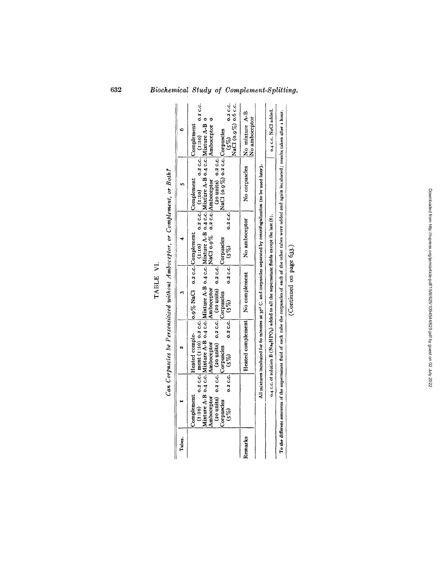|         |                                                                                                                                                                      | Can Corpuscies be Persenstitued without Amboceptor, or Complement, or Both?                                                                                                                                                                                                    |                                                                                                                                    |                                                     |                                                                                                                     |                                                                                            |
|---------|----------------------------------------------------------------------------------------------------------------------------------------------------------------------|--------------------------------------------------------------------------------------------------------------------------------------------------------------------------------------------------------------------------------------------------------------------------------|------------------------------------------------------------------------------------------------------------------------------------|-----------------------------------------------------|---------------------------------------------------------------------------------------------------------------------|--------------------------------------------------------------------------------------------|
| Tubes.  |                                                                                                                                                                      |                                                                                                                                                                                                                                                                                |                                                                                                                                    |                                                     |                                                                                                                     |                                                                                            |
|         | Complement<br>Amboceptor<br>(01:1)<br>Corpuscles<br>(5%)                                                                                                             | Mixture A-B 0.4 c.c. Mixture A-B 0.4 c.c. Mixture A-B 0.4 c.c. Mixture A-B 0.4 c.c. Mixture A-B 0.4 c.c. Mixture A-B<br>(20 units) $0.2$ c.c. (20 units) $0.2$ c.c. (20 units) $0.2$ c.c.<br>0.2 C.C. ment (I:10) 0.2 C.C.<br>Heated comple-<br>Corpuscles<br>0.2 c.c. $(5\%)$ | Amboceptor Amboceptor NaCl 0.9% 0.2 c.c. Amboceptor<br>$\sim$ 0.9% NaCl $\sim$ 2 c.c. Complement<br>Corpuscles<br>0.2 c.c. $(5\%)$ | 0.2 C.C<br>Corpuscles<br>(01:1)<br>0.2 c.c. $(5\%)$ | NaCl (0.9%) 0.2 c.c. Corpuscles<br>0.2 C.C. $(110)$ 0.2 C.C. $(110)$<br>$(20 \text{ units})$ 0.2 c.c.<br>Complement | 0.2 C.C.<br>0.2 C.C.<br>NaCl (0.9%) 0.6 c.c.<br>¢<br>Amboceptor o<br>Complement<br>$(5\%)$ |
| Remarks |                                                                                                                                                                      | Heated complement                                                                                                                                                                                                                                                              | No complement                                                                                                                      | No amboceptor                                       | No corpuscles                                                                                                       | No mixture A-B<br>No amboceptor                                                            |
|         |                                                                                                                                                                      | All mixtures incubated for 60 minutes at $37^{\circ}$ C. and corpuscles separated by centrifugalization (to be used later).                                                                                                                                                    |                                                                                                                                    |                                                     |                                                                                                                     |                                                                                            |
|         |                                                                                                                                                                      | o.4 c.c. of solution B (NagHPO <sub>4</sub> ) added to all the supermatant fluids except the last (6).                                                                                                                                                                         |                                                                                                                                    |                                                     |                                                                                                                     | 0.4 c.c. NaCl added.                                                                       |
|         | To the different amounts of the supernatant fluid of each tube the corpuscles of each of the other tubes were added and again incubated; results taken after 1 hour. |                                                                                                                                                                                                                                                                                |                                                                                                                                    |                                                     |                                                                                                                     |                                                                                            |
|         |                                                                                                                                                                      |                                                                                                                                                                                                                                                                                | (Continued on page 633)                                                                                                            |                                                     |                                                                                                                     |                                                                                            |

*~9* 

|        | ξ<br>Z |
|--------|--------|
| Щ      |        |
| ڀ<br>≏ | ż<br>₿ |
| H      | z<br>Š |

# **632** *Biochemical Study of Complement-Splitting.*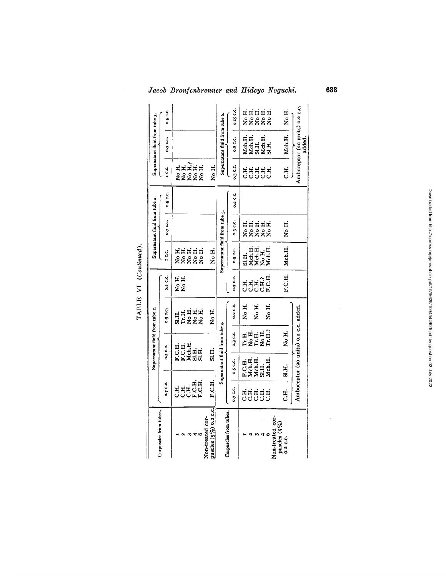| Corpuscles from tubes.                    |                       |                                       | Supernatant fluid from tube r.         |                   |                   |                       | Supernatant fluid from tube 2. |                       |                       | Supernatant fluid from tube 3.               |              |
|-------------------------------------------|-----------------------|---------------------------------------|----------------------------------------|-------------------|-------------------|-----------------------|--------------------------------|-----------------------|-----------------------|----------------------------------------------|--------------|
|                                           | 0.7 C.C.              |                                       | <b>o.5</b> C.C.                        | o.3 C.C.          | 0.2 C.C.          | I C.C.                | 0.7 C.C.                       | .<br>.<br>.<br>.<br>. | ະເດ                   | 0.7 C.C.                                     | o.5 c.c.     |
|                                           |                       |                                       |                                        |                   |                   |                       |                                |                       |                       |                                              |              |
|                                           |                       |                                       |                                        |                   | No H.<br>No H.    |                       |                                |                       |                       |                                              |              |
|                                           |                       |                                       |                                        |                   |                   |                       |                                |                       |                       |                                              |              |
| $\mathbf{d}$                              | <b>HHHHH</b><br>COOKK |                                       | F.C.H.<br>F.C.H.H.<br>Mch.H.<br>S.H.H. | 보도<br>역도<br>역도 동물 |                   | <b>HHHHH</b><br>22222 |                                |                       |                       |                                              |              |
|                                           |                       |                                       |                                        |                   |                   |                       |                                |                       | nin<br>22222<br>22222 |                                              |              |
| puscles (5%) 0.2 c.c.<br>Non-treated cor- | F.C.H.                | $\sin$                                |                                        | No H.             |                   | No H.                 |                                |                       | No H.                 |                                              |              |
|                                           |                       | Supernatant fluid from tube 4.        |                                        |                   |                   |                       | Supernatant fluid from tube 5. |                       |                       | Supernatant fluid from tube 6.               |              |
| Corpuscles from tubes.                    |                       |                                       |                                        |                   |                   |                       |                                |                       |                       |                                              |              |
|                                           | 0.7 C.C.              | 0.5 C.C.                              | <b>0.3</b> C.C.                        | 0.2 C.C.          | $0.7$ C.C.        | <b>0.5</b> C.C.       | <b>0.3 C.C.</b>                | 0.2 C.C.              | 0.3 C.C.              | 0.2 C                                        | o.15 C.C.    |
|                                           |                       | F.C.H.<br>Mch.H.                      | Tr.H.                                  | No H.             |                   | SI.H.                 |                                |                       |                       |                                              |              |
|                                           |                       |                                       |                                        |                   |                   | Mch.H.<br>Mch.H.      |                                |                       |                       |                                              |              |
|                                           | <b>HHHHH</b><br>UUUUU | Mch.H.                                | No H.<br>Tr.H.<br>No H.                | No H.             | ਜ਼ਜ਼ਜ਼ੵ<br>ਜ਼ਖ਼ਜ਼ |                       | nin<br>22222                   |                       | ヸヸヸヸヸ<br>ヷヷヷヷヷ        | Mch.H.<br>Mch.H.<br>Mch.H.<br>Sl.H.<br>Sl.H. | nii<br>22222 |
|                                           |                       | SLH.<br>Mch.H.                        |                                        |                   |                   | No H.                 |                                |                       |                       |                                              |              |
|                                           |                       |                                       | Tr.H.?                                 | No H.             | F.C.H.            | Mch.H.                |                                |                       |                       |                                              |              |
| Non-treated cor-<br>puscles $(5\%)$       |                       |                                       |                                        |                   |                   |                       |                                |                       |                       |                                              |              |
| 0.2 C.C.                                  | н.<br>С               | $SLH$ .                               | No H.                                  |                   | F.C.H.            | Mch.H.                | No H.                          |                       | E.                    | Mch.H.                                       | No H.        |
|                                           |                       |                                       |                                        |                   |                   |                       |                                |                       |                       |                                              |              |
|                                           |                       | Amboceptor (20 units) 0.2 c.c. added. |                                        |                   |                   |                       |                                |                       |                       | Amboceptor (20 units) 0.2 c.c.<br>added.     |              |

TABLE VI (Continued).

 $\hat{\mathcal{A}}$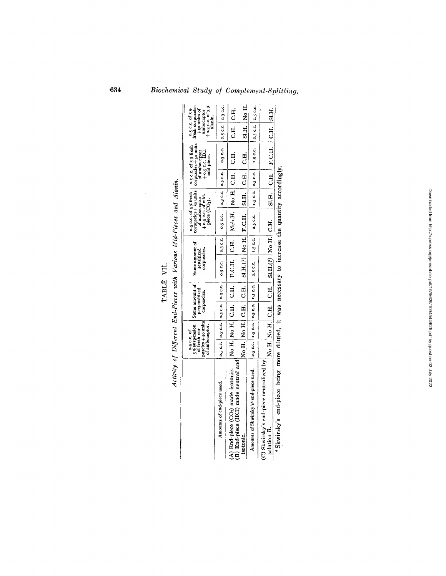|                                                                                                  | puscles + 50 units<br>5 % suspension<br>of amboceptor.<br>of fresh cor-<br>0.5 C.C. of | Same amount of<br>persensitized<br>corpuscles. | Same amount of<br>corpuscles.<br>sensitized                                                                                                                                                        | $+0.5$ c.c. of mid-<br>of amboceptor<br>piece (CO <sub>2</sub> ).                                                      |  | corpuscles + 50 units   corpuscles + 50 units  <br>$\circ$ -5 c.c. of 5 % fresh   $\circ$ -5 c.c. of 5 % fresh  <br>of amboeptor<br>+0.5 c.c. HCl<br>mid-piece. | $\alpha$ , s c.c. of $5\frac{6}{5}$<br>fresh corpuscles | $+0.3$ c.c. of $3%$<br>$+50$ units of<br>amboceptor |
|--------------------------------------------------------------------------------------------------|----------------------------------------------------------------------------------------|------------------------------------------------|----------------------------------------------------------------------------------------------------------------------------------------------------------------------------------------------------|------------------------------------------------------------------------------------------------------------------------|--|-----------------------------------------------------------------------------------------------------------------------------------------------------------------|---------------------------------------------------------|-----------------------------------------------------|
| Amounts of end-piece used.                                                                       |                                                                                        |                                                | $0.5 \, \text{G.} \cdot \text{C.} \cdot \text{C.} \cdot \text{C.} \cdot \text{C.} \cdot \text{C.} \cdot \text{C.} \cdot \text{C.} \cdot \text{C.} \cdot \text{C.} \cdot \text{C.} \cdot \text{C.}$ | 0.5 C.C.    0.3 C.C.    0.5 C.C.                                                                                       |  | $0.3$ C.C.                                                                                                                                                      | 0.5 C.C.   0.3 C.C.                                     |                                                     |
| (B) End-piece (HCl) made neutral and<br>$(A)$ End-piece $(COi)$ made isotonic.                   |                                                                                        | No H. No H. C.H. C.H.                          |                                                                                                                                                                                                    | $ $ F.C.H. $ $ C.H. $ $ Mch.H. $ $ No H. $ $ C.H.                                                                      |  | н.<br>С                                                                                                                                                         | $C.H.$ $ CH.$                                           |                                                     |
| isotonic.                                                                                        |                                                                                        |                                                |                                                                                                                                                                                                    | No H.   No H.   C.H.   C.H.   SI.H.   No H.   K.H.   SI.H.   C.H.   C.H.                                               |  |                                                                                                                                                                 | SI.H. No H.                                             |                                                     |
| Amounts of Skwirsky's <sup>4</sup> end-piece used.                                               |                                                                                        |                                                |                                                                                                                                                                                                    | 2.5 GC- [1.5 GC- [2.5 GC- ] 2.5 GC- [2.5 GC- ] 2.5 GC- [2.5 GC- ] 2.5 GC- [2.5 GC- ] 1.5 GC-                           |  |                                                                                                                                                                 |                                                         |                                                     |
| (C) Skwirsky's end-piece neutralized by<br>solution B.                                           |                                                                                        |                                                |                                                                                                                                                                                                    | $N0$ H, $N0$ H, $ $ C, H, $ $ S, H, $ $ N <sub>0</sub> H, $ $ C, H, $ $ C, H, $ $ E, $ $ C, H, $ $ E, $ $ H, $ $ S, H, |  |                                                                                                                                                                 |                                                         |                                                     |
| *Skwirsky's end-piece being more diluted, it was necessary to increase the quantity accordingly. |                                                                                        |                                                |                                                                                                                                                                                                    |                                                                                                                        |  |                                                                                                                                                                 |                                                         |                                                     |

*~4 ¢,a .4 #4* 

*~4 <* 

 $\frac{1}{2}$ 

# **634** *Biochemical Study of Complement-Splitting.*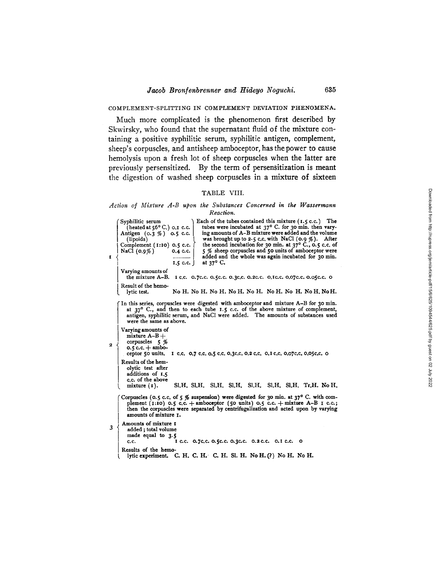COMPLEMENT-SPLITTING IN COMPLEMENT DEVIATION PHENOMENA.

Much more complicated is the phenomenon first described by Skwirsky, who found that the supernatant fluid of the mixture containing a positive syphilitic serum, syphilitic antigen, complement, sheep's corpuscles, and antisheep amboceptor, has the power to cause hemolysis upon a fresh lot of sheep corpuscles when the latter are previously persensitized. By the term of persensitization is meant the digestion of washed sheep corpuscles in a mixture of sixteen

## TABLE VIII.

*Action of Mixture A-B upon the Substances Concerned in the Wassermann Reaction.* 

| 1            | Each of the tubes contained this mixture $(1.5 c.c.)$ The<br>Syphilitic serum<br>tubes were incubated at 37° C. for 30 min. then vary-<br>(heated at $56^{\circ}$ C.) o.1 c.c.<br>ing amounts of A-B mixture were added and the volume<br>Antigen $(0.3 \%)$ 0.5 c.c.<br>was brought up to 2.5 c.c. with NaCl (0.9 $%$ ). After<br>(lipoids)<br>the second incubation for 30 min. at 37° C., o.5 c.c. of<br>Complement $(1:10)$ 0.5 c.c.<br>$5\%$ sheep corpuscles and $50$ units of amboceptor were<br>NaCl $(0.9%)$<br>0.4c.c.<br>added and the whole was again incubated for 30 min.<br>at $37^{\circ}$ C.<br>1,5, c. c. |
|--------------|-----------------------------------------------------------------------------------------------------------------------------------------------------------------------------------------------------------------------------------------------------------------------------------------------------------------------------------------------------------------------------------------------------------------------------------------------------------------------------------------------------------------------------------------------------------------------------------------------------------------------------|
|              | Varying amounts of<br>the mixture A-B.<br>I c.c. 0.7c.c. 0.5c.c. 0.3c.c. 0.2c.c. 0.Ic.c. 0.07c.c. 0.05c.c. 0                                                                                                                                                                                                                                                                                                                                                                                                                                                                                                                |
|              | Result of the hemo-<br>No H. No H. No H. No H. No H. No H. No H. No H. No H.<br>lytic test.                                                                                                                                                                                                                                                                                                                                                                                                                                                                                                                                 |
|              | In this series, corpuscles were digested with amboceptor and mixture A–B for 30 min.<br>at $37^{\circ}$ C., and then to each tube 1.5 c.c. of the above mixture of complement,<br>antigen, syphilitic serum, and NaCl were added. The amounts of substances used<br>were the same as above.                                                                                                                                                                                                                                                                                                                                 |
| $\mathbf{z}$ | Varying amounts of<br>mixture $A-B+$<br>corpuscles 5 %<br>$0.5$ c.c. $+$ ambo-<br>ceptor 50 units.<br>I c.c. 0.7 c.c. 0.5 c.c. 0.3c.c. 0.2 c.c. 0.1 c.c. 0.07c.c. 0.05c.c. 0                                                                                                                                                                                                                                                                                                                                                                                                                                                |
|              | Results of the hem-<br>olytic test after<br>additions of 1.5<br>c.c. of the above<br>SI.H. SI.H. SI.H. SI.H. SI.H. SI.H. SI.H. Tr.H. No H.<br>mixture (1).                                                                                                                                                                                                                                                                                                                                                                                                                                                                  |
|              | Corpuscles (0.5 c.c. of 5 % suspension) were digested for 30 min. at $37^{\circ}$ C. with com-<br>plement $(1:10)$ 0.5 c.c. $+$ amboceptor (50 units) 0.5 c.c. $+$ mixture A-B I c.c.;<br>then the corpuscles were separated by centrifugalization and acted upon by varying<br>amounts of mixture 1.                                                                                                                                                                                                                                                                                                                       |
| 3            | Amounts of mixture I<br>added ; total volume<br>made equal to 3.5<br>I c.c. 0.7c.c. 0.5c.c. 0.3c.c. 0.2c.c. 0.1 c.c. 0<br>c.c.                                                                                                                                                                                                                                                                                                                                                                                                                                                                                              |
|              | Results of the hemo-<br>lytic experiment. C. H. C. H. C. H. Sl. H. No H. (?) No H. No H.                                                                                                                                                                                                                                                                                                                                                                                                                                                                                                                                    |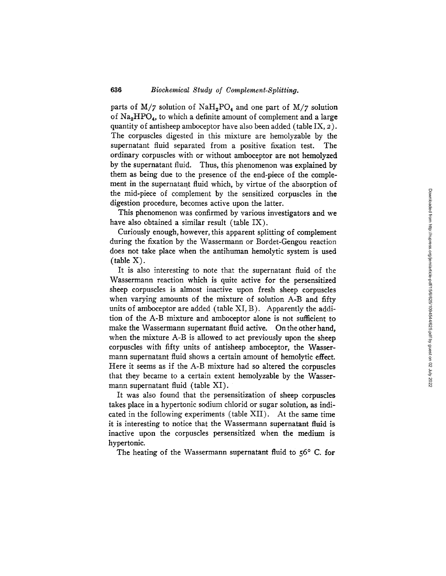parts of  $M/\gamma$  solution of  $NaH_2PO_4$  and one part of  $M/\gamma$  solution of Na<sub>2</sub>HPO<sub>4</sub>, to which a definite amount of complement and a large quantity of antisheep amboceptor have also been added (table IX, 2). The corpuscles digested in this mixture are hemolyzable by the supernatant fluid separated from a positive fixation test. The ordinary corpuscles with or without amboceptor are not hemolyzed by the supernatant fluid. Thus, this phenomenon was explained by them as being due to the presence of the end-piece of the complement in the supernatant fluid which, by virtue of the absorption of the mid-piece of complement by the sensitized corpuscles in the digestion procedure, becomes active upon the latter.

This phenomenon was confirmed by various investigators and we have also obtained a similar result (table IX).

Curiously enough, however, this apparent splitting of complement during the fixation by the Wassermann or Bordet-Gengou reaction does not take place when the antihuman hemolytic system is used (table X).

It is also interesting to note that the supernatant fluid of the Wassermann reaction which is quite active for the persensitized sheep corpuscles is almost inactive upon fresh sheep corpuscles when varying amounts of the mixture of solution A-B and fifty units of amboceptor are added (table XI, B). Apparently the addition of the A-B mixture and amboceptor alone is not sufficient to make the Wassermann supernatant fluid active. On the other hand, when the mixture A-B is allowed to act previously upon the sheep corpuscles with fifty units of antisheep amboceptor, the Wassermann supernatant fluid shows a certain amount of hemolytic effect. Here it seems as if the A-B mixture had so altered the corpuscles that they became to a certain extent hemolyzable by the Wassermann supernatant fluid (table XI).

It was also found that the persensitization of sheep corpuscles takes place in a hypertonic sodium chlorid or sugar solution, as indicated in the following experiments (table XII). At the same time it is interesting to notice that the Wassermann supernatant fluid is inactive upon the corpuscles persensitized when the medium is hypertonic.

The heating of the Wassermann supernatant fluid to  $56^{\circ}$  C. for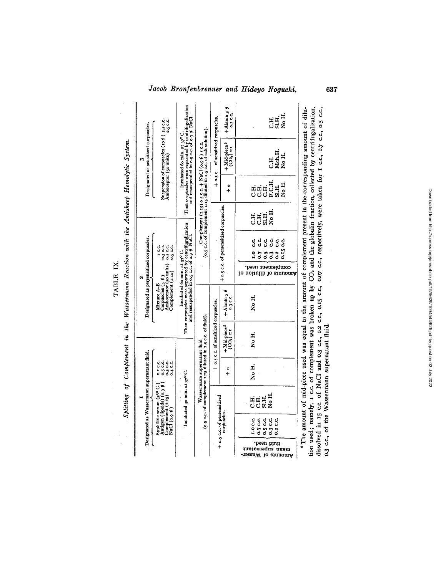|                                             | 2.5 C.C.                                                                                                            |                                                                                                                                 |                                                                                                                                                               |                                      | $+$ Alanin $3$<br>o.3 c.c.                                | CH.<br>GH.<br>No H.                                                                                                     |
|---------------------------------------------|---------------------------------------------------------------------------------------------------------------------|---------------------------------------------------------------------------------------------------------------------------------|---------------------------------------------------------------------------------------------------------------------------------------------------------------|--------------------------------------|-----------------------------------------------------------|-------------------------------------------------------------------------------------------------------------------------|
| Designated as sensitized corpuscles.        | Suspension of corpuscles (10 \$) 2.5 c.c.                                                                           | Then corpuscles were separated by centrifugalization<br>and resuspended in o.5 c.c. of o.9 # NaCl<br>Incubated 60 min. at 37°C. | Complement $(x; x; y)$ o.g c.c. $+$ NaCl $(\infty, \emptyset, \emptyset)$ r c.c.<br>(o.g c.c. of complement $x; x;$ diluted in $x, y$ c.c. of salt solution). | of sensitized corpuscles.            | $+$ Mid-piece <sup>5</sup><br>(CO <sub>2</sub> ) $_{1:1}$ | Mch.H.<br>No H.<br>H.<br>C                                                                                              |
|                                             | Amboceptor (50 units)                                                                                               |                                                                                                                                 |                                                                                                                                                               | $+ 0.5c$                             | $+$                                                       | F.C.H.<br>SI.H.<br>No H.<br>ਸ਼ੁੰਸ਼ੁੰ<br>ਹਹਿੰਹ                                                                           |
|                                             |                                                                                                                     |                                                                                                                                 |                                                                                                                                                               |                                      |                                                           | No H.<br>.<br>면로<br>이 역                                                                                                 |
|                                             | 0.5 C.C.<br>ួ<br>0.5 C.C.<br><b>O.5 C.C.</b>                                                                        |                                                                                                                                 |                                                                                                                                                               |                                      | + 0.5 c.c. of persensitized corpuscles.                   | ن<br>ن<br>0.15 c.c.<br>ં<br>ડ<br>ن<br>ن<br>ပ္ပံ<br>ပ္ပံ<br>$\ddot{\circ}$<br>š<br>$\frac{5}{6}$<br>$\ddot{\phantom{0}}$ |
|                                             |                                                                                                                     | Incubated 60 min. at 37°C.                                                                                                      |                                                                                                                                                               |                                      |                                                           | combjement næq•<br>no uoisulib 10 siuuom                                                                                |
| Designated as persensitized corpuscles.     | Amboceptor (50 units)<br>Complement (1:10)<br>Conpusles (5.9)<br>Mixture A-B                                        | Then corpuscles were separated by centrifugalization<br>and resuspended in o.5 c.c. of o.9 # NaCl.                              |                                                                                                                                                               |                                      | $+$ Alanin 3 $\frac{1}{2}$<br>o.3 c.c.                    | No H.                                                                                                                   |
|                                             |                                                                                                                     |                                                                                                                                 |                                                                                                                                                               | + 0.5 c.c. of sensitized corpuscles. | +Mid-piece <sup>5</sup><br>$(CO_2)$ $\cdots$              | No H.                                                                                                                   |
| Designated as Wassermann supernatant fluid. | <b>O.5</b> C.C.<br><b>o.5</b> C.C.<br>0.1 C.C.<br>0.4 C.C.<br>Syphilitic serum (56°C.)<br>Antigen (lipoids) (0.3 \$ | (0.5 c.c. of complement r.15 diluted in 1.5 c.c. of fluid).<br>Wassermann supernatant fluid<br>Incubated 30 min. at 37°C.       |                                                                                                                                                               |                                      | $\overset{\circ}{+}$                                      | No H.                                                                                                                   |
|                                             |                                                                                                                     |                                                                                                                                 |                                                                                                                                                               |                                      |                                                           | No H.<br>Е.<br>ні<br>С<br>SI.H.                                                                                         |
|                                             |                                                                                                                     | Complement (1:15)<br>$NaCl$ (0.9 $\sharp$ )                                                                                     |                                                                                                                                                               | + 0.5 c.c. of persensitized          | corpuscles.                                               | 1.0 C.C.<br>0.7 c.c<br>ن<br>5.5 ت<br>0.3 C.C.<br><b>C.C.</b><br>0.2 C.C                                                 |
|                                             |                                                                                                                     |                                                                                                                                 |                                                                                                                                                               |                                      |                                                           | pəsn.<br>piuft<br>aupernatant<br>uuem<br>Wasser-<br>ĮО<br>stunoury                                                      |

.~ 0 ¢j  $\dot{\circ}$  $\frac{1}{8}$  #  $\frac{1}{9}$  # ~o  $\overline{=}$  $\overline{+}$  $\Xi$ ي.  $\Xi$ 

# *Jacob Bronfenbrenner and Hideyo Noguchi.* **637'**

# TABLE IX.

Splitting of Complement in the Wassermann Reaction with the Antisheep Hemolytic System.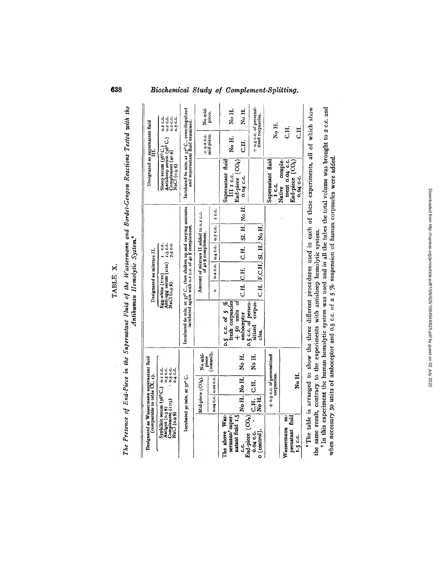| ć.<br>⋗             |
|---------------------|
| ĹΣ.)<br>с<br>г<br>t |
|                     |

The Presence of End-Piece in the Supernatant Fluid of the Wassermann and Bordet-Gengou Reactions Tested with the<br> $A$ ntituman Hemolytic System.

|                                                              | Designated as Wassermann supernatant fluid<br>comparable to table IX, 1) |                                                                          |                                                                                                                              |                  | Designated as mixture II.                         |                                                              |              |          | Designated as supernatant fluid                                                       |                                              |                                            |
|--------------------------------------------------------------|--------------------------------------------------------------------------|--------------------------------------------------------------------------|------------------------------------------------------------------------------------------------------------------------------|------------------|---------------------------------------------------|--------------------------------------------------------------|--------------|----------|---------------------------------------------------------------------------------------|----------------------------------------------|--------------------------------------------|
| Antigen (0.3 ≸)<br>Complement (1:15)<br>NaCl (0.9 ≸)         | Syphilitic serum (56°C.)                                                 | <b>O.5 C.C.</b><br><b>O.5</b> C.C.<br><b>O.I</b> C.C.<br><b>o.4</b> c.c. |                                                                                                                              | Egg-white (1:10) | Anti-egg serum (1:10)<br>NaCl (0.9 <del>6</del> ) | $\begin{array}{c}\n 1 \\ 1.5 \\ 0\n \end{array}$<br>7-5 c.c. |              |          | Antisheep serum (56°C.)<br>Sheep serum (56°C.)<br>Complement (40 %)<br>NaCl (0.9 %)   |                                              | 0.1 0.0<br>0.1 0.0<br>0.1 C.C.<br>0.7 C.C. |
|                                                              | Incubated 30 min. at 37º C.                                              |                                                                          | Incubated 60 min. at $37^{\circ}$ C., then shaken up and varying amounts incubated again with 0.1 c.c. of $40\%$ complement. |                  |                                                   |                                                              |              |          | Incubated 60 min. at 37°C., centrifugalized<br>and supernatant fluid examined         |                                              |                                            |
|                                                              | Mid-piece (CO <sub>2</sub> ).                                            | No mid-<br>piece                                                         |                                                                                                                              |                  | Amount of mixture II added to 0.1 c.c.            | of 40 % complement.                                          |              |          |                                                                                       | +0.2 c.c.<br>mid-piece.                      | No mid-                                    |
|                                                              | 0.04 C.C. 0.02 C.C.                                                      | (control).                                                               |                                                                                                                              | o                | 0.2 C.C. 0.4 C.C. 0.7 C.C.                        |                                                              |              | ن<br>د د |                                                                                       |                                              | piece.                                     |
| natant fluid 1.5<br>The above Was-<br>sermann' super-        |                                                                          |                                                                          | 0.5 c.c. of $5$ %<br>fresh corpuscles<br>+ 50 units of<br>amboceptor                                                         |                  |                                                   |                                                              |              |          | Supernatant fluid                                                                     | No H.                                        | No H.                                      |
| End-piece (CO <sub>2</sub> )<br>ن<br>ن                       | No H. No H.                                                              | No H.                                                                    |                                                                                                                              |                  | $C.H.$ $C.H.$                                     | C.H.                                                         | Sl. H. No H. |          | End-piece (CO2)<br>0.04 c.c.                                                          | C.Н.                                         | No H.                                      |
| o (control)<br>0.04 c.c                                      | CH. CH.<br>No H.                                                         | $_{\rm No\,HI}$                                                          | o.5 c.c. of persen<br>corpus.<br>sitized<br>des.                                                                             |                  | $C.H.$ $[F.C.H.]$ Sl. $H.$ No $H.$                |                                                              |              |          |                                                                                       | + 0.5 c.c. of persensi-<br>tized corpuscles. |                                            |
|                                                              | + 0.5 c.c. of persensitized<br>corpuscles.                               |                                                                          |                                                                                                                              |                  |                                                   |                                                              |              |          | Supernatant fluid                                                                     | No H.                                        |                                            |
| ä<br><b>fluid</b><br>Wassermann<br>pernatant<br>ن<br>1.5 د.1 | H<br>No H                                                                |                                                                          |                                                                                                                              |                  |                                                   |                                                              |              |          | comple-<br>ment 0.04 c.c.<br>End-piece (CO <sub>3</sub> )<br><b>o.o4</b> c.<br>Native | H.<br>U<br>н<br>С                            |                                            |
|                                                              | $0$ The table is composed to the the three differences.                  |                                                                          |                                                                                                                              |                  |                                                   |                                                              |              |          |                                                                                       |                                              |                                            |

q ,.~ ¢9 • ~ o ~ **oE**  ~ \*~ 0 -~

## **688** *Biochemical Study of Complement-Splitting.*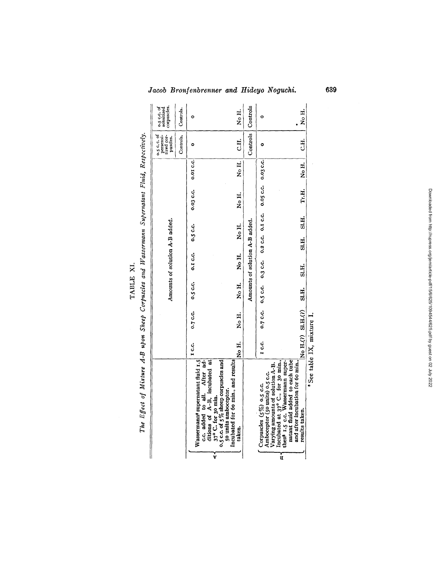*Jacob Bronfenbrenner and Hideyo Noguchi.* **639** 

|   |                                                                                                                                                                                                       |                            |           |                       | Amounts of solution A-B added. |                   |       |                     |          | o.5 c. c. of<br>persensi-<br>tized cor-<br>puscles. | corpuscles.<br>o.5 c.c. of<br>sensitized |
|---|-------------------------------------------------------------------------------------------------------------------------------------------------------------------------------------------------------|----------------------------|-----------|-----------------------|--------------------------------|-------------------|-------|---------------------|----------|-----------------------------------------------------|------------------------------------------|
|   |                                                                                                                                                                                                       |                            |           |                       |                                |                   |       |                     |          | Controls.                                           | Controls.                                |
|   | Wassermann <sup>8</sup> supernatant fluid 1.5<br>After ad-<br>ditions of A-B, incubated at<br>0.5 c.c. of 5% sheep corpuscles and<br>50 units amboceptor.<br>c.c. added to all.<br>37° C. for 30 min. | ن<br>1<br>1                | 0.7 c.c.  | 0.5 C.C.              | 0.I C.C.                       | <b>O.5 C.</b>     |       | $0.03$ C.C.         | 0.01 C.C | ٥                                                   | ۰                                        |
|   | Incubated for 60 min., and results<br>taken.                                                                                                                                                          | No H.                      | н<br>ХоН. | No H.                 | No H.                          |                   | No H. | No H.               | No H.    | E.                                                  | No H.                                    |
|   |                                                                                                                                                                                                       |                            |           |                       | Amounts of solution A-B added. |                   |       |                     |          | Controls   Controls                                 |                                          |
|   | Varying amounts of solution A-B.<br>Amboceptor (50 units) 0.5 c.c.<br>Corpuscles (5%) 0.5 c.c.                                                                                                        | i c.c.                     |           | $0.7$ C.C. $0.5$ C.C. | 0.3 C.C.                       | 0.2 C.C. 0.I C.C. |       | 0.05 C.C. 0.03 C.C. |          | ۰                                                   | ۰                                        |
| B | natant fluid added to each tube<br>Incubated at 37° C., for 30 min.<br>then <sup>6</sup> 1.5 c.c. Wassermann super-<br>and after incubation for 60 min.                                               |                            |           |                       |                                |                   |       |                     |          |                                                     |                                          |
|   | results taken.                                                                                                                                                                                        | $N_0$ H. $(?)$ Sl.H. $(?)$ |           | $\frac{1}{5}$         | SI.H.                          | SI.H.             | SLH.  | Tr.H.               | No H.    | E.                                                  | No H.                                    |
|   | See table IX, mixture 1.                                                                                                                                                                              |                            |           |                       |                                |                   |       |                     |          |                                                     |                                          |

TABLE XI.

The Effect of Mixture A-B upon Sheep Corpuscles and Wassermann Supernatant Fluid, Respectively.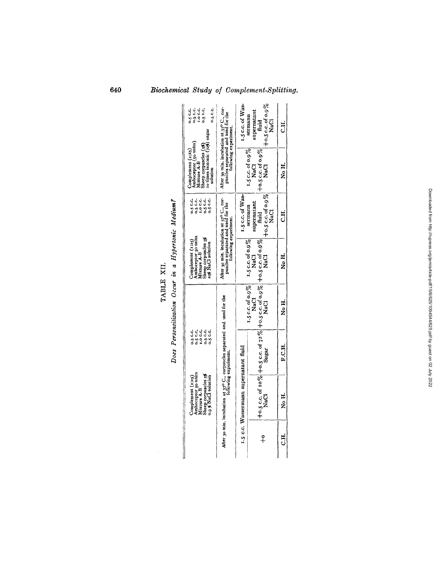|                                                                   | o.5 c.c.<br>0.5 C.C.<br>0.5 c.c.<br>1.0 C.C.<br>o.5 c.c.                                                                        |                                                                                                          | $+0.5c.c.$ of 0.9%<br>1.5 c.c. of Was-<br>supernatant<br>fluid<br>sermann<br>ក<br>និ                                              | Н.          |
|-------------------------------------------------------------------|---------------------------------------------------------------------------------------------------------------------------------|----------------------------------------------------------------------------------------------------------|-----------------------------------------------------------------------------------------------------------------------------------|-------------|
|                                                                   | ro times isotonic (72%) sugar<br>Complement (1:15)<br>Amboceptor (50 units)<br>Mixture A-B<br>Sheep corpuscles (5%)<br>solution | After 30 min. incubation at $37^{\circ}$ C., corpused separated and used for the following experiment.   | $1.5c.c.$ of 0.9%<br>$+0.5$ c.c. of 0.9%<br>NaCl<br>NaCl                                                                          | H<br>No H   |
|                                                                   | ្នុំ ភូមិ<br>ភូមិ ភូមិ<br>ភូមិ ដ<br>o.5 c.c.<br>o.5 c.c.                                                                        |                                                                                                          | $+0.5c.c.$ of 0.9%<br>1.5 c.c. of Was-<br>supernatant<br>fluid<br>sermann<br><b>NaCl</b>                                          | EЗ.         |
| Does Persensitization Occur in a Hypertonic Medium?<br>TABLE XII. | Amboceptor 50 units<br>Mixture A-B<br>Sheep corpuscles 5%<br>10% NaCl solution<br>Complement (1:15)                             | After 30 min. incubation at $37^{\circ}$ C., corpuscles separated and used for the following experiment. | $1.5$ c.c. of 0.9%<br><b>Ciaci</b><br><b>NaCl</b>                                                                                 | No H.       |
|                                                                   |                                                                                                                                 | After 30 min. incubation at $37^{\circ}$ C., corpuscles separated and used for the following experiment. | $+$ 0.5 c.c. of 10% $+$ 0.5 c.c. of 72% $+$ 0.5 c.c. of 0.9% $+$ 0.5 c.c. of 0.9%<br>$1.5$ c.c. of $0.9\%$<br><b>NaCl</b><br>NaCl | H.<br>No H. |
|                                                                   | 0.5 C.C.<br>D.S C.C.<br>O.5 C.C<br><b>O.5</b> C.C.<br>o.5 c.c.                                                                  |                                                                                                          | Sugar                                                                                                                             | H.C.H       |
|                                                                   | Amboceptor 50 units<br>Mixture A. B<br>Sheep corpuscles 5%<br>0.9 % NaCl solution<br>Complement (1:15)                          |                                                                                                          | 1.5 c.c. Wassermann supernatant fluid<br>N <sub>aCl</sub>                                                                         | E<br>No H   |
|                                                                   |                                                                                                                                 |                                                                                                          | $\frac{1}{2}$                                                                                                                     | СH.         |

# **640** *Biochemical Study o/ Complement-Splitting.*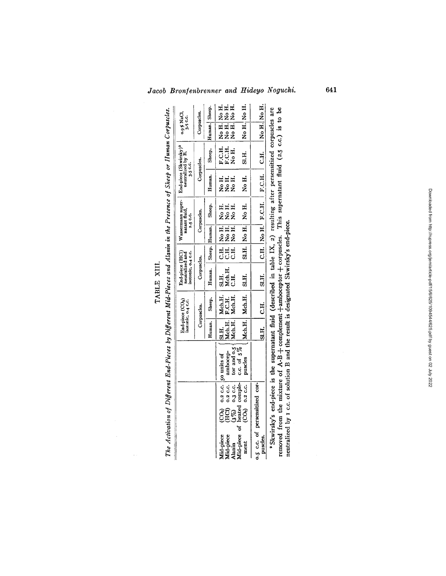| ı       |
|---------|
| ٠       |
| ۰       |
| ċ       |
| ь       |
|         |
|         |
| r<br>c) |
|         |
|         |
|         |
| Ē       |
|         |
| ۴       |
|         |
|         |

 $\frac{1}{2}$ 

**i**  $a$ .~

|                                                                    |             |                             | No H. No H.<br>No H. No H.<br>No H. No H.                          | No H. No H.                                                     |                                            |
|--------------------------------------------------------------------|-------------|-----------------------------|--------------------------------------------------------------------|-----------------------------------------------------------------|--------------------------------------------|
| 0.9 % NaCl,<br>3.5 c.c.                                            | Corpuscles. | Human. Sheep.               |                                                                    |                                                                 | No H. No H.                                |
| End-piece (Skwirsky) <sup>9</sup><br>neutralized by B.<br>3.5 c.c. | Corpuscles. | Sheep.                      | F.C.H.<br>F.C.H.<br>No H.                                          | $SLH$ .                                                         |                                            |
|                                                                    |             | Human.                      | ni<br>222<br>222                                                   | No H.                                                           |                                            |
| Wassermann super-<br>natant fluid,<br>1.5 C.C.                     | Corpuscles. | Human. Sheep. Human. Sheep. | No H. No H.<br>No H. No H.<br>No H. No H.                          | SI.H. No H. No H.                                               | $CLH$ . No $H$ . F.C.H. $R$ .C.H. $CLH$ .  |
|                                                                    |             |                             |                                                                    |                                                                 |                                            |
|                                                                    |             |                             | $\frac{1}{\text{C}}$<br>$\frac{1}{10}$                             |                                                                 |                                            |
| End-piece (HCl)<br>isotonic, 0.4 c.c.<br>neutralized and           | Corpuscles. |                             | Mch.H.<br>C.H.<br>SLH.                                             | н<br>Бін                                                        | SI.H.                                      |
| End-piece (CO2)<br>isotonic, o.4 c.c.                              | Corpuscles. | Sheep.                      | Mch.H.<br>F.C.H.<br>Mch.H.                                         | Mch.H. Mch.H.                                                   | $\frac{1}{\sqrt{2}}$                       |
|                                                                    |             | Human.                      | Mch.H.<br><u>ын</u>                                                |                                                                 | Sl.H.                                      |
|                                                                    |             |                             | tor and $o.5$ $\left\{$ Mch.H.<br>ambocep-<br>0.2 c.c. 50 units of | c.c. of $5\%$<br>puscles                                        |                                            |
|                                                                    |             |                             | 0.2 c.c.<br>0.3 C.C.                                               |                                                                 |                                            |
|                                                                    |             |                             | දිටි<br>විපි<br>$(3\%)$                                            |                                                                 |                                            |
|                                                                    |             |                             | Mid-piece<br>Mid-piece<br>Alanin                                   | Mid-piece of heated comple-<br>ment (CO <sub>2</sub> ) 0.2 c.c. | 0.5 c.c. of persensitized cor-<br>puscles. |

**85**  ت ¤ B ا **z** ∣ ∞ ق  $\tilde{+}$  :  $\bar{\vec{z}}$  $\Xi$   $\tilde{+}$   $\cdot$  $\overline{5}$   $\overline{5}$ a e les.<br>*kwir*<br>alized<br>alized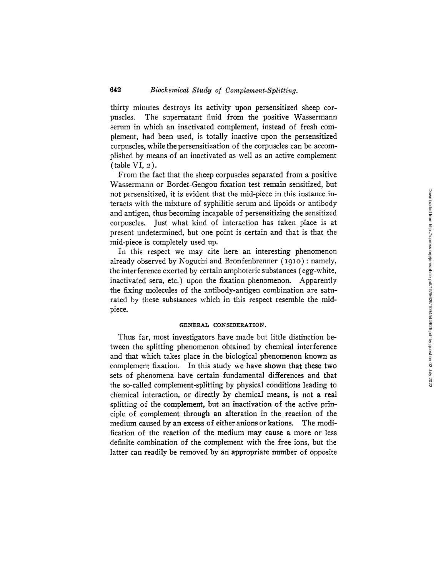## **642** *Biochemical Study of Complement-Splitting.*

thirty minutes destroys its activity upon persensitized sheep corpuscles. The supernatant fluid from the positive Wassermann serum in which an inactivated complement, instead of fresh complement, had been used, is totally inactive upon the persensitized corpuscles, while the persensitization of the corpuscles can be accomplished by means of an inactivated as well as an active complement (table VI, 2).

From the fact that the sheep corpuscles separated from a positive Wassermann or Bordet-Gengou fixation test remain sensitized, but not persensitized, it is evident that the mid-piece in this instance interacts with the mixture of syphilitic serum and lipoids or antibody and antigen, thus becoming incapable of persensitizing the sensitized corpuscles. Just what kind of interaction has taken place is at present undetermined, but one point is certain and that is that the mid-piece is completely used up.

In this respect we may cite here an interesting phenomenon already observed by Noguchi and Bronfenbrenner (I9IO) : namely, the interference exerted by certain amphoteric substances (egg-white, inactivated sera, etc.) upon the fixation phenomenon. Apparently the fixing molecules of the antibody-antigen combination are saturated by these substances which in this respect resemble the midpiece.

## GENERAL CONSIDERATION.

Thus far, most investigators have made but little distinction between the splitting phenomenon obtained by chemical interference and that which takes place in the biological phenomenon known as complement fixation. In this study we have shown that these two sets of phenomena have certain fundamental differences and that the so-called complement-splitting by physical conditions leading to chemical interaction, or directly by chemical means, is not a real splitting of the complement, but an inactivation of the active principle of complement through an alteration in the reaction of the medium caused by an excess of either anions or kations. The modification of the reaction of the medium may cause a more or less definite combination of the complement with the free ions, but the latter can readily be removed by an appropriate number of opposite